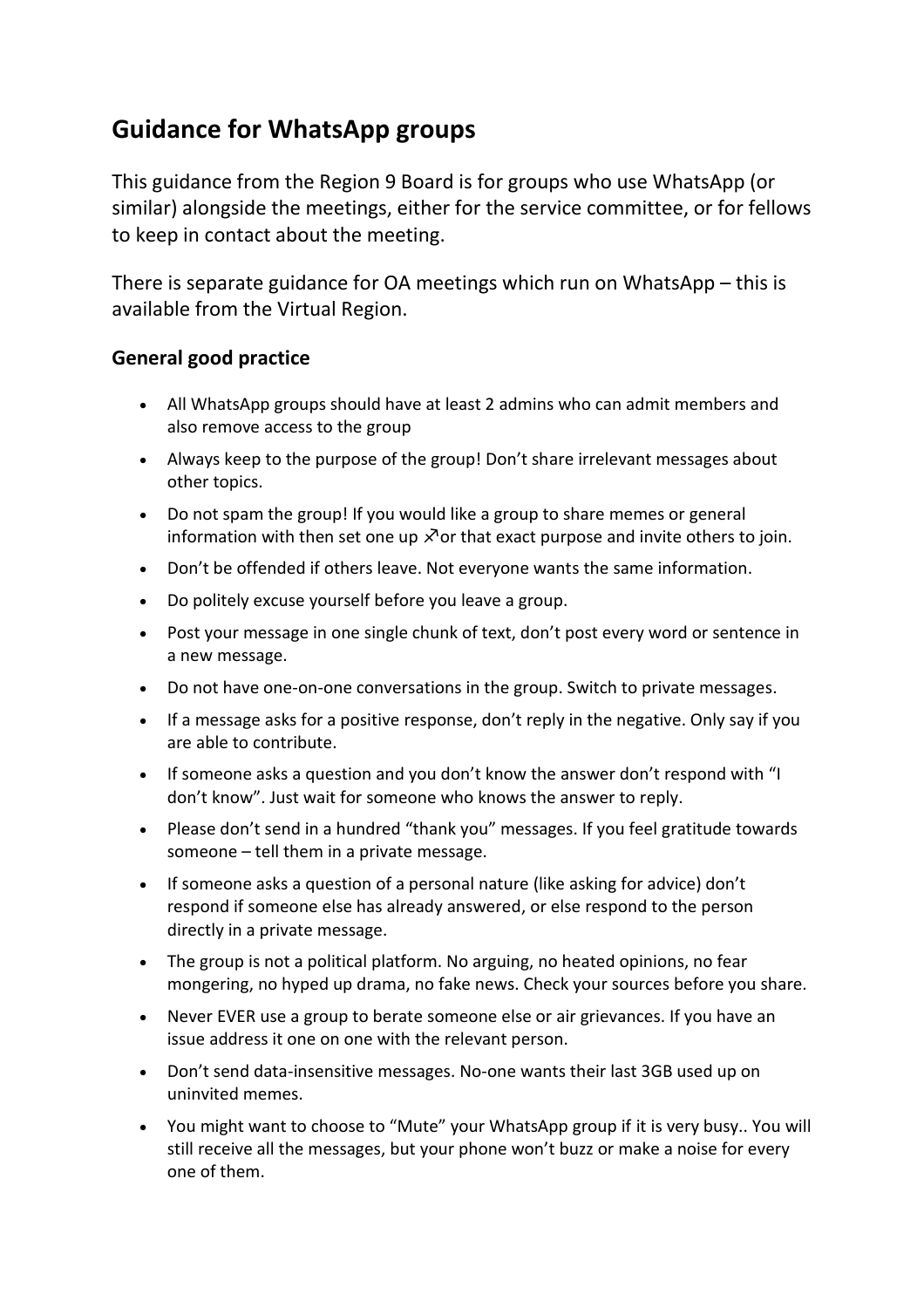## **Guidance for WhatsApp groups**

This guidance from the Region 9 Board is for groups who use WhatsApp (or similar) alongside the meetings, either for the service committee, or for fellows to keep in contact about the meeting.

There is separate guidance for OA meetings which run on WhatsApp – this is available from the Virtual Region.

## **General good practice**

- All WhatsApp groups should have at least 2 admins who can admit members and also remove access to the group
- Always keep to the purpose of the group! Don't share irrelevant messages about other topics.
- Do not spam the group! If you would like a group to share memes or general information with then set one up  $\lambda$  or that exact purpose and invite others to join.
- Don't be offended if others leave. Not everyone wants the same information.
- Do politely excuse yourself before you leave a group.
- Post your message in one single chunk of text, don't post every word or sentence in a new message.
- Do not have one-on-one conversations in the group. Switch to private messages.
- If a message asks for a positive response, don't reply in the negative. Only say if you are able to contribute.
- If someone asks a question and you don't know the answer don't respond with "I don't know". Just wait for someone who knows the answer to reply.
- Please don't send in a hundred "thank you" messages. If you feel gratitude towards someone – tell them in a private message.
- If someone asks a question of a personal nature (like asking for advice) don't respond if someone else has already answered, or else respond to the person directly in a private message.
- The group is not a political platform. No arguing, no heated opinions, no fear mongering, no hyped up drama, no fake news. Check your sources before you share.
- Never EVER use a group to berate someone else or air grievances. If you have an issue address it one on one with the relevant person.
- Don't send data-insensitive messages. No-one wants their last 3GB used up on uninvited memes.
- You might want to choose to "Mute" your WhatsApp group if it is very busy.. You will still receive all the messages, but your phone won't buzz or make a noise for every one of them.